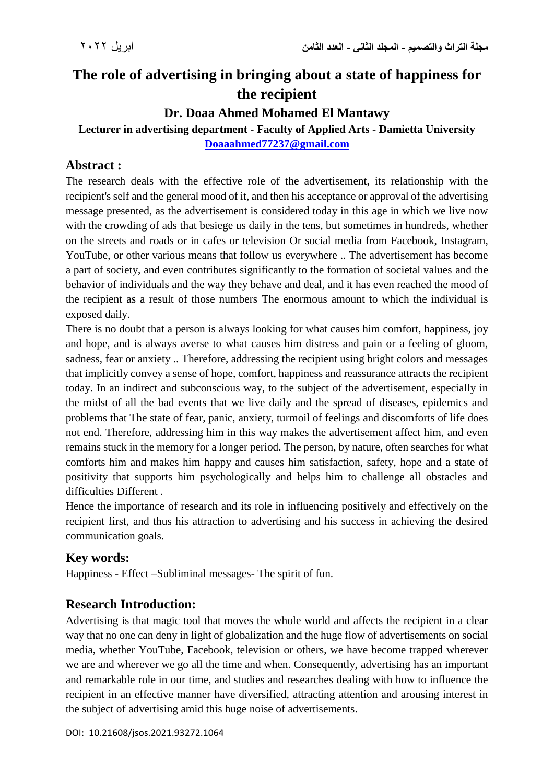# **The role of advertising in bringing about a state of happiness for the recipient**

# **Dr. Doaa Ahmed Mohamed El Mantawy**

**Lecturer in advertising department - Faculty of Applied Arts - Damietta University [Doaaahmed77237@gmail.com](mailto:Doaaahmed77237@gmail.com)**

### **Abstract :**

The research deals with the effective role of the advertisement, its relationship with the recipient's self and the general mood of it, and then his acceptance or approval of the advertising message presented, as the advertisement is considered today in this age in which we live now with the crowding of ads that besiege us daily in the tens, but sometimes in hundreds, whether on the streets and roads or in cafes or television Or social media from Facebook, Instagram, YouTube, or other various means that follow us everywhere .. The advertisement has become a part of society, and even contributes significantly to the formation of societal values and the behavior of individuals and the way they behave and deal, and it has even reached the mood of the recipient as a result of those numbers The enormous amount to which the individual is exposed daily.

There is no doubt that a person is always looking for what causes him comfort, happiness, joy and hope, and is always averse to what causes him distress and pain or a feeling of gloom, sadness, fear or anxiety .. Therefore, addressing the recipient using bright colors and messages that implicitly convey a sense of hope, comfort, happiness and reassurance attracts the recipient today. In an indirect and subconscious way, to the subject of the advertisement, especially in the midst of all the bad events that we live daily and the spread of diseases, epidemics and problems that The state of fear, panic, anxiety, turmoil of feelings and discomforts of life does not end. Therefore, addressing him in this way makes the advertisement affect him, and even remains stuck in the memory for a longer period. The person, by nature, often searches for what comforts him and makes him happy and causes him satisfaction, safety, hope and a state of positivity that supports him psychologically and helps him to challenge all obstacles and difficulties Different .

Hence the importance of research and its role in influencing positively and effectively on the recipient first, and thus his attraction to advertising and his success in achieving the desired communication goals.

# **Key words:**

Happiness - Effect –Subliminal messages- The spirit of fun.

# **Research Introduction:**

Advertising is that magic tool that moves the whole world and affects the recipient in a clear way that no one can deny in light of globalization and the huge flow of advertisements on social media, whether YouTube, Facebook, television or others, we have become trapped wherever we are and wherever we go all the time and when. Consequently, advertising has an important and remarkable role in our time, and studies and researches dealing with how to influence the recipient in an effective manner have diversified, attracting attention and arousing interest in the subject of advertising amid this huge noise of advertisements.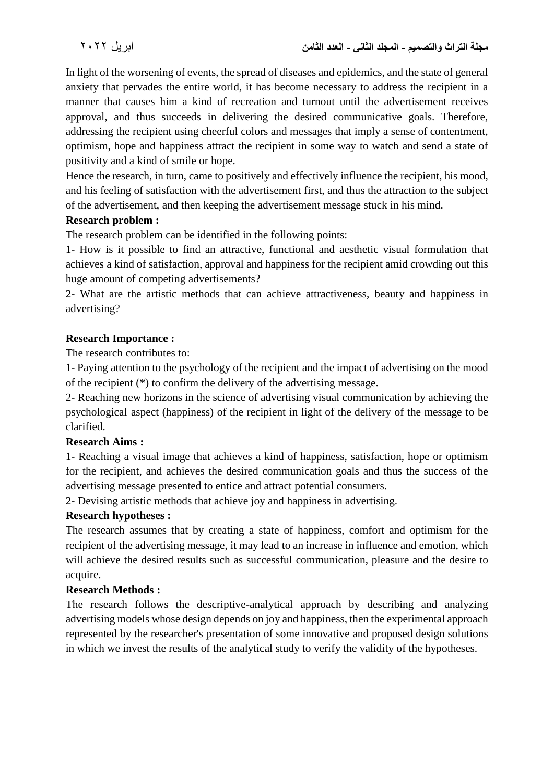In light of the worsening of events, the spread of diseases and epidemics, and the state of general anxiety that pervades the entire world, it has become necessary to address the recipient in a manner that causes him a kind of recreation and turnout until the advertisement receives approval, and thus succeeds in delivering the desired communicative goals. Therefore, addressing the recipient using cheerful colors and messages that imply a sense of contentment, optimism, hope and happiness attract the recipient in some way to watch and send a state of positivity and a kind of smile or hope.

Hence the research, in turn, came to positively and effectively influence the recipient, his mood, and his feeling of satisfaction with the advertisement first, and thus the attraction to the subject of the advertisement, and then keeping the advertisement message stuck in his mind.

#### **Research problem :**

The research problem can be identified in the following points:

1- How is it possible to find an attractive, functional and aesthetic visual formulation that achieves a kind of satisfaction, approval and happiness for the recipient amid crowding out this huge amount of competing advertisements?

2- What are the artistic methods that can achieve attractiveness, beauty and happiness in advertising?

#### **Research Importance :**

The research contributes to:

1- Paying attention to the psychology of the recipient and the impact of advertising on the mood of the recipient (\*) to confirm the delivery of the advertising message.

2- Reaching new horizons in the science of advertising visual communication by achieving the psychological aspect (happiness) of the recipient in light of the delivery of the message to be clarified.

#### **Research Aims :**

1- Reaching a visual image that achieves a kind of happiness, satisfaction, hope or optimism for the recipient, and achieves the desired communication goals and thus the success of the advertising message presented to entice and attract potential consumers.

2- Devising artistic methods that achieve joy and happiness in advertising.

### **Research hypotheses :**

The research assumes that by creating a state of happiness, comfort and optimism for the recipient of the advertising message, it may lead to an increase in influence and emotion, which will achieve the desired results such as successful communication, pleasure and the desire to acquire.

#### **Research Methods :**

The research follows the descriptive-analytical approach by describing and analyzing advertising models whose design depends on joy and happiness, then the experimental approach represented by the researcher's presentation of some innovative and proposed design solutions in which we invest the results of the analytical study to verify the validity of the hypotheses.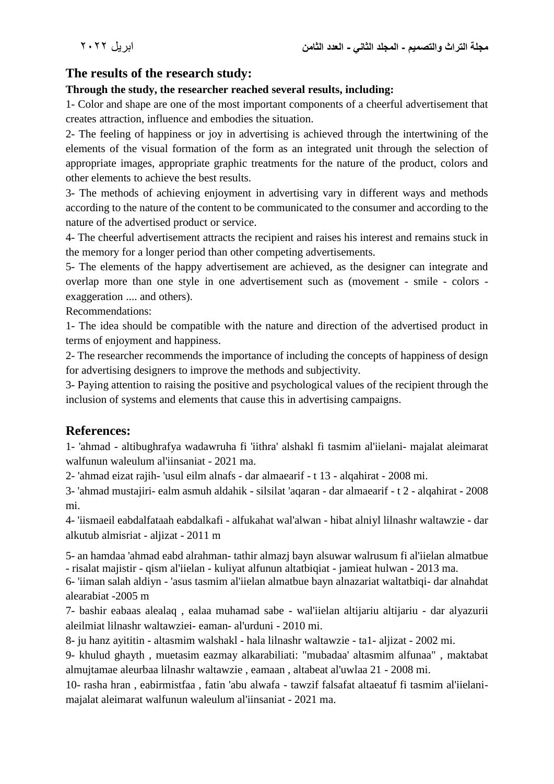### **The results of the research study:**

### **Through the study, the researcher reached several results, including:**

1- Color and shape are one of the most important components of a cheerful advertisement that creates attraction, influence and embodies the situation.

2- The feeling of happiness or joy in advertising is achieved through the intertwining of the elements of the visual formation of the form as an integrated unit through the selection of appropriate images, appropriate graphic treatments for the nature of the product, colors and other elements to achieve the best results.

3- The methods of achieving enjoyment in advertising vary in different ways and methods according to the nature of the content to be communicated to the consumer and according to the nature of the advertised product or service.

4- The cheerful advertisement attracts the recipient and raises his interest and remains stuck in the memory for a longer period than other competing advertisements.

5- The elements of the happy advertisement are achieved, as the designer can integrate and overlap more than one style in one advertisement such as (movement - smile - colors exaggeration .... and others).

Recommendations:

1- The idea should be compatible with the nature and direction of the advertised product in terms of enjoyment and happiness.

2- The researcher recommends the importance of including the concepts of happiness of design for advertising designers to improve the methods and subjectivity.

3- Paying attention to raising the positive and psychological values of the recipient through the inclusion of systems and elements that cause this in advertising campaigns.

### **References:**

1- 'ahmad - altibughrafya wadawruha fi 'iithra' alshakl fi tasmim al'iielani- majalat aleimarat walfunun waleulum al'iinsaniat - 2021 ma.

2- 'ahmad eizat rajih- 'usul eilm alnafs - dar almaearif - t 13 - alqahirat - 2008 mi.

3- 'ahmad mustajiri- ealm asmuh aldahik - silsilat 'aqaran - dar almaearif - t 2 - alqahirat - 2008 mi.

4- 'iismaeil eabdalfataah eabdalkafi - alfukahat wal'alwan - hibat alniyl lilnashr waltawzie - dar alkutub almisriat - aljizat - 2011 m

5- an hamdaa 'ahmad eabd alrahman- tathir almazj bayn alsuwar walrusum fi al'iielan almatbue - risalat majistir - qism al'iielan - kuliyat alfunun altatbiqiat - jamieat hulwan - 2013 ma.

6- 'iiman salah aldiyn - 'asus tasmim al'iielan almatbue bayn alnazariat waltatbiqi- dar alnahdat alearabiat -2005 m

7- bashir eabaas alealaq , ealaa muhamad sabe - wal'iielan altijariu altijariu - dar alyazurii aleilmiat lilnashr waltawziei- eaman- al'urduni - 2010 mi.

8- ju hanz ayititin - altasmim walshakl - hala lilnashr waltawzie - ta1- aljizat - 2002 mi.

9- khulud ghayth , muetasim eazmay alkarabiliati: "mubadaa' altasmim alfunaa" , maktabat almujtamae aleurbaa lilnashr waltawzie , eamaan , altabeat al'uwlaa 21 - 2008 mi.

10- rasha hran , eabirmistfaa , fatin 'abu alwafa - tawzif falsafat altaeatuf fi tasmim al'iielanimajalat aleimarat walfunun waleulum al'iinsaniat - 2021 ma.